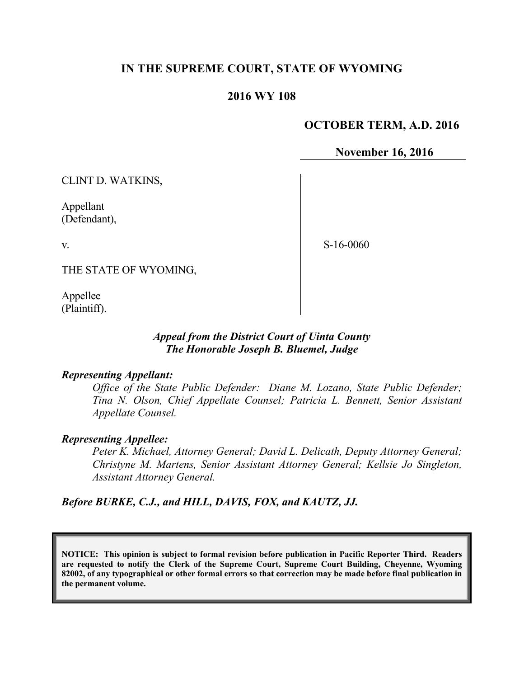# **IN THE SUPREME COURT, STATE OF WYOMING**

# **2016 WY 108**

## **OCTOBER TERM, A.D. 2016**

**November 16, 2016**

CLINT D. WATKINS,

Appellant (Defendant),

v.

S-16-0060

THE STATE OF WYOMING,

Appellee (Plaintiff).

## *Appeal from the District Court of Uinta County The Honorable Joseph B. Bluemel, Judge*

#### *Representing Appellant:*

*Office of the State Public Defender: Diane M. Lozano, State Public Defender; Tina N. Olson, Chief Appellate Counsel; Patricia L. Bennett, Senior Assistant Appellate Counsel.*

#### *Representing Appellee:*

*Peter K. Michael, Attorney General; David L. Delicath, Deputy Attorney General; Christyne M. Martens, Senior Assistant Attorney General; Kellsie Jo Singleton, Assistant Attorney General.*

*Before BURKE, C.J., and HILL, DAVIS, FOX, and KAUTZ, JJ.*

**NOTICE: This opinion is subject to formal revision before publication in Pacific Reporter Third. Readers are requested to notify the Clerk of the Supreme Court, Supreme Court Building, Cheyenne, Wyoming 82002, of any typographical or other formal errors so that correction may be made before final publication in the permanent volume.**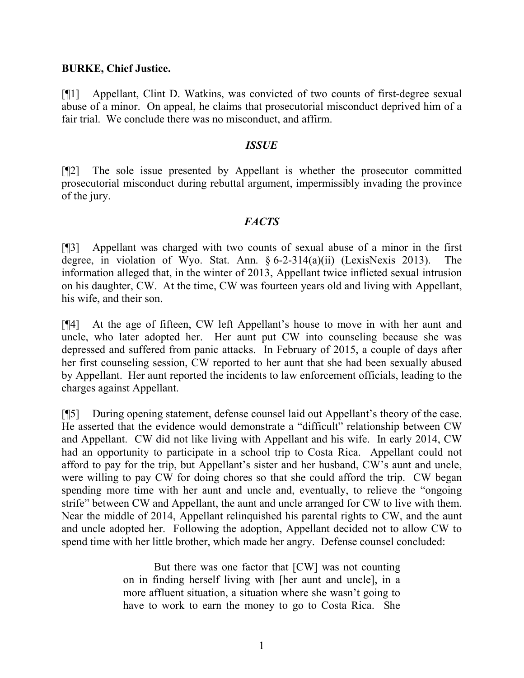### **BURKE, Chief Justice.**

[¶1] Appellant, Clint D. Watkins, was convicted of two counts of first-degree sexual abuse of a minor. On appeal, he claims that prosecutorial misconduct deprived him of a fair trial. We conclude there was no misconduct, and affirm.

### *ISSUE*

[¶2] The sole issue presented by Appellant is whether the prosecutor committed prosecutorial misconduct during rebuttal argument, impermissibly invading the province of the jury.

### *FACTS*

[¶3] Appellant was charged with two counts of sexual abuse of a minor in the first degree, in violation of Wyo. Stat. Ann. § 6-2-314(a)(ii) (LexisNexis 2013). The information alleged that, in the winter of 2013, Appellant twice inflicted sexual intrusion on his daughter, CW. At the time, CW was fourteen years old and living with Appellant, his wife, and their son.

[¶4] At the age of fifteen, CW left Appellant's house to move in with her aunt and uncle, who later adopted her. Her aunt put CW into counseling because she was depressed and suffered from panic attacks. In February of 2015, a couple of days after her first counseling session, CW reported to her aunt that she had been sexually abused by Appellant. Her aunt reported the incidents to law enforcement officials, leading to the charges against Appellant.

[¶5] During opening statement, defense counsel laid out Appellant's theory of the case. He asserted that the evidence would demonstrate a "difficult" relationship between CW and Appellant. CW did not like living with Appellant and his wife. In early 2014, CW had an opportunity to participate in a school trip to Costa Rica. Appellant could not afford to pay for the trip, but Appellant's sister and her husband, CW's aunt and uncle, were willing to pay CW for doing chores so that she could afford the trip. CW began spending more time with her aunt and uncle and, eventually, to relieve the "ongoing strife" between CW and Appellant, the aunt and uncle arranged for CW to live with them. Near the middle of 2014, Appellant relinquished his parental rights to CW, and the aunt and uncle adopted her. Following the adoption, Appellant decided not to allow CW to spend time with her little brother, which made her angry. Defense counsel concluded:

> But there was one factor that [CW] was not counting on in finding herself living with [her aunt and uncle], in a more affluent situation, a situation where she wasn't going to have to work to earn the money to go to Costa Rica. She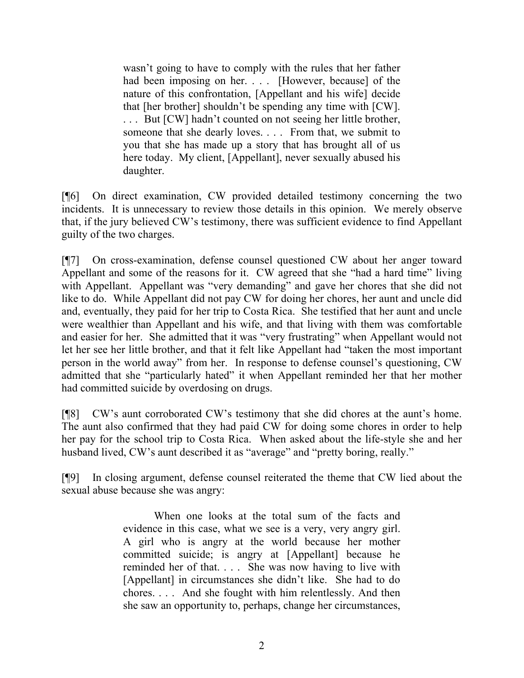wasn't going to have to comply with the rules that her father had been imposing on her. . . . [However, because] of the nature of this confrontation, [Appellant and his wife] decide that [her brother] shouldn't be spending any time with [CW]. . . . But [CW] hadn't counted on not seeing her little brother, someone that she dearly loves. . . . From that, we submit to you that she has made up a story that has brought all of us here today. My client, [Appellant], never sexually abused his daughter.

[¶6] On direct examination, CW provided detailed testimony concerning the two incidents. It is unnecessary to review those details in this opinion. We merely observe that, if the jury believed CW's testimony, there was sufficient evidence to find Appellant guilty of the two charges.

[¶7] On cross-examination, defense counsel questioned CW about her anger toward Appellant and some of the reasons for it. CW agreed that she "had a hard time" living with Appellant. Appellant was "very demanding" and gave her chores that she did not like to do. While Appellant did not pay CW for doing her chores, her aunt and uncle did and, eventually, they paid for her trip to Costa Rica. She testified that her aunt and uncle were wealthier than Appellant and his wife, and that living with them was comfortable and easier for her. She admitted that it was "very frustrating" when Appellant would not let her see her little brother, and that it felt like Appellant had "taken the most important person in the world away" from her. In response to defense counsel's questioning, CW admitted that she "particularly hated" it when Appellant reminded her that her mother had committed suicide by overdosing on drugs.

[¶8] CW's aunt corroborated CW's testimony that she did chores at the aunt's home. The aunt also confirmed that they had paid CW for doing some chores in order to help her pay for the school trip to Costa Rica. When asked about the life-style she and her husband lived, CW's aunt described it as "average" and "pretty boring, really."

[¶9] In closing argument, defense counsel reiterated the theme that CW lied about the sexual abuse because she was angry:

> When one looks at the total sum of the facts and evidence in this case, what we see is a very, very angry girl. A girl who is angry at the world because her mother committed suicide; is angry at [Appellant] because he reminded her of that. . . . She was now having to live with [Appellant] in circumstances she didn't like. She had to do chores. . . . And she fought with him relentlessly. And then she saw an opportunity to, perhaps, change her circumstances,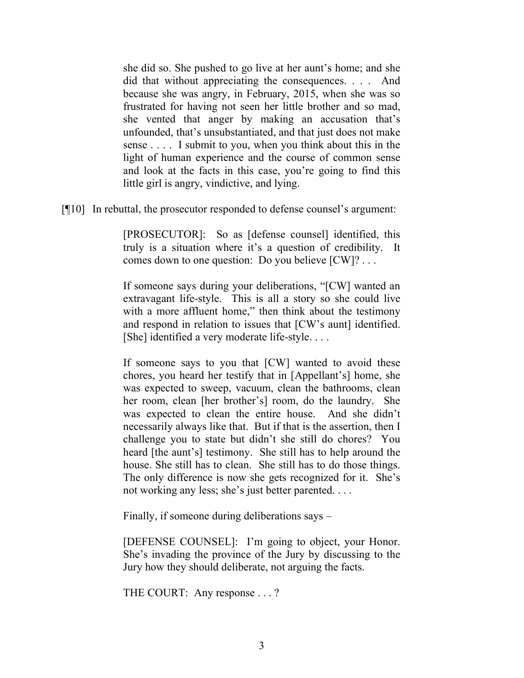she did so. She pushed to go live at her aunt's home; and she did that without appreciating the consequences. . . . And because she was angry, in February, 2015, when she was so frustrated for having not seen her little brother and so mad, she vented that anger by making an accusation that's unfounded, that's unsubstantiated, and that just does not make sense . . . . I submit to you, when you think about this in the light of human experience and the course of common sense and look at the facts in this case, you're going to find this little girl is angry, vindictive, and lying.

[¶10] In rebuttal, the prosecutor responded to defense counsel's argument:

[PROSECUTOR]: So as [defense counsel] identified, this truly is a situation where it's a question of credibility. It comes down to one question: Do you believe [CW]? . . .

If someone says during your deliberations, "[CW] wanted an extravagant life-style. This is all a story so she could live with a more affluent home," then think about the testimony and respond in relation to issues that [CW's aunt] identified. [She] identified a very moderate life-style....

If someone says to you that [CW] wanted to avoid these chores, you heard her testify that in [Appellant's] home, she was expected to sweep, vacuum, clean the bathrooms, clean her room, clean [her brother's] room, do the laundry. She was expected to clean the entire house. And she didn't necessarily always like that. But if that is the assertion, then I challenge you to state but didn't she still do chores? You heard [the aunt's] testimony. She still has to help around the house. She still has to clean. She still has to do those things. The only difference is now she gets recognized for it. She's not working any less; she's just better parented. . . .

Finally, if someone during deliberations says –

[DEFENSE COUNSEL]: I'm going to object, your Honor. She's invading the province of the Jury by discussing to the Jury how they should deliberate, not arguing the facts.

THE COURT: Any response . . .?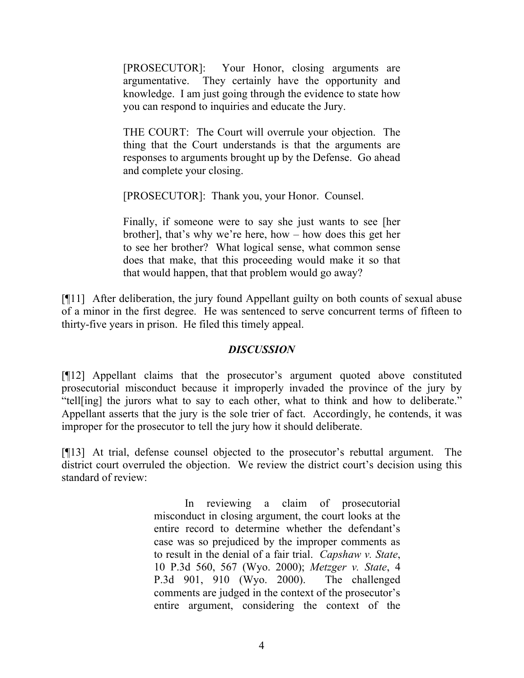[PROSECUTOR]: Your Honor, closing arguments are argumentative. They certainly have the opportunity and knowledge. I am just going through the evidence to state how you can respond to inquiries and educate the Jury.

THE COURT: The Court will overrule your objection. The thing that the Court understands is that the arguments are responses to arguments brought up by the Defense. Go ahead and complete your closing.

[PROSECUTOR]: Thank you, your Honor. Counsel.

Finally, if someone were to say she just wants to see [her brother], that's why we're here, how – how does this get her to see her brother? What logical sense, what common sense does that make, that this proceeding would make it so that that would happen, that that problem would go away?

[¶11] After deliberation, the jury found Appellant guilty on both counts of sexual abuse of a minor in the first degree. He was sentenced to serve concurrent terms of fifteen to thirty-five years in prison. He filed this timely appeal.

# *DISCUSSION*

[¶12] Appellant claims that the prosecutor's argument quoted above constituted prosecutorial misconduct because it improperly invaded the province of the jury by "tell[ing] the jurors what to say to each other, what to think and how to deliberate." Appellant asserts that the jury is the sole trier of fact. Accordingly, he contends, it was improper for the prosecutor to tell the jury how it should deliberate.

[¶13] At trial, defense counsel objected to the prosecutor's rebuttal argument. The district court overruled the objection. We review the district court's decision using this standard of review:

> In reviewing a claim of prosecutorial misconduct in closing argument, the court looks at the entire record to determine whether the defendant's case was so prejudiced by the improper comments as to result in the denial of a fair trial. *Capshaw v. State*, 10 P.3d 560, 567 (Wyo. 2000); *Metzger v. State*, 4 P.3d 901, 910 (Wyo. 2000). The challenged comments are judged in the context of the prosecutor's entire argument, considering the context of the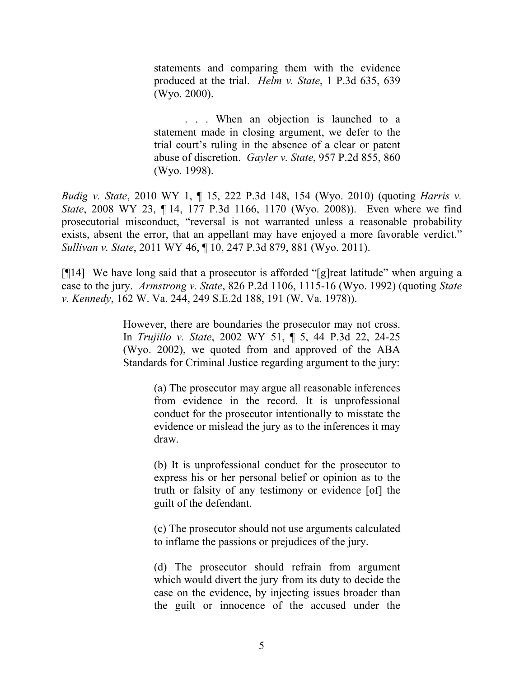statements and comparing them with the evidence produced at the trial. *Helm v. State*, 1 P.3d 635, 639 (Wyo. 2000).

. . . When an objection is launched to a statement made in closing argument, we defer to the trial court's ruling in the absence of a clear or patent abuse of discretion. *Gayler v. State*, 957 P.2d 855, 860 (Wyo. 1998).

*Budig v. State*, 2010 WY 1, ¶ 15, 222 P.3d 148, 154 (Wyo. 2010) (quoting *Harris v. State*, 2008 WY 23, ¶ 14, 177 P.3d 1166, 1170 (Wyo. 2008)). Even where we find prosecutorial misconduct, "reversal is not warranted unless a reasonable probability exists, absent the error, that an appellant may have enjoyed a more favorable verdict." *Sullivan v. State*, 2011 WY 46, ¶ 10, 247 P.3d 879, 881 (Wyo. 2011).

[¶14] We have long said that a prosecutor is afforded "[g]reat latitude" when arguing a case to the jury. *Armstrong v. State*, 826 P.2d 1106, 1115-16 (Wyo. 1992) (quoting *State v. Kennedy*, 162 W. Va. 244, 249 S.E.2d 188, 191 (W. Va. 1978)).

> However, there are boundaries the prosecutor may not cross. In *Trujillo v. State*, 2002 WY 51, ¶ 5, 44 P.3d 22, 24-25 (Wyo. 2002), we quoted from and approved of the ABA Standards for Criminal Justice regarding argument to the jury:

> > (a) The prosecutor may argue all reasonable inferences from evidence in the record. It is unprofessional conduct for the prosecutor intentionally to misstate the evidence or mislead the jury as to the inferences it may draw.

> > (b) It is unprofessional conduct for the prosecutor to express his or her personal belief or opinion as to the truth or falsity of any testimony or evidence [of] the guilt of the defendant.

> > (c) The prosecutor should not use arguments calculated to inflame the passions or prejudices of the jury.

> > (d) The prosecutor should refrain from argument which would divert the jury from its duty to decide the case on the evidence, by injecting issues broader than the guilt or innocence of the accused under the